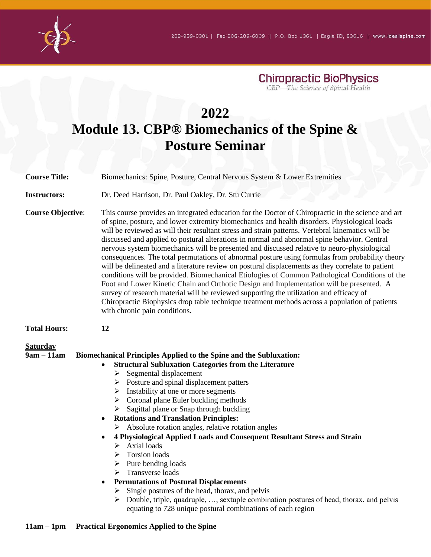

**Chiropractic BioPhysics**<br>CBP—The Science of Spinal Health

# **2022 Module 13. CBP® Biomechanics of the Spine & Posture Seminar**

| <b>Course Title:</b>            | Biomechanics: Spine, Posture, Central Nervous System & Lower Extremities                                                                                                                                                                                                                                                                                                                                                                                                                                                                                                                                                                                                                                                                                                                                                                                                                                                                                                                                                                                                                                                                    |
|---------------------------------|---------------------------------------------------------------------------------------------------------------------------------------------------------------------------------------------------------------------------------------------------------------------------------------------------------------------------------------------------------------------------------------------------------------------------------------------------------------------------------------------------------------------------------------------------------------------------------------------------------------------------------------------------------------------------------------------------------------------------------------------------------------------------------------------------------------------------------------------------------------------------------------------------------------------------------------------------------------------------------------------------------------------------------------------------------------------------------------------------------------------------------------------|
| <b>Instructors:</b>             | Dr. Deed Harrison, Dr. Paul Oakley, Dr. Stu Currie                                                                                                                                                                                                                                                                                                                                                                                                                                                                                                                                                                                                                                                                                                                                                                                                                                                                                                                                                                                                                                                                                          |
| <b>Course Objective:</b>        | This course provides an integrated education for the Doctor of Chiropractic in the science and art<br>of spine, posture, and lower extremity biomechanics and health disorders. Physiological loads<br>will be reviewed as will their resultant stress and strain patterns. Vertebral kinematics will be<br>discussed and applied to postural alterations in normal and abnormal spine behavior. Central<br>nervous system biomechanics will be presented and discussed relative to neuro-physiological<br>consequences. The total permutations of abnormal posture using formulas from probability theory<br>will be delineated and a literature review on postural displacements as they correlate to patient<br>conditions will be provided. Biomechanical Etiologies of Common Pathological Conditions of the<br>Foot and Lower Kinetic Chain and Orthotic Design and Implementation will be presented. A<br>survey of research material will be reviewed supporting the utilization and efficacy of<br>Chiropractic Biophysics drop table technique treatment methods across a population of patients<br>with chronic pain conditions. |
| <b>Total Hours:</b>             | 12                                                                                                                                                                                                                                                                                                                                                                                                                                                                                                                                                                                                                                                                                                                                                                                                                                                                                                                                                                                                                                                                                                                                          |
| <b>Saturday</b><br>$9am - 11am$ | <b>Biomechanical Principles Applied to the Spine and the Subluxation:</b><br><b>Structural Subluxation Categories from the Literature</b><br>$\bullet$<br>Segmental displacement<br>➤<br>$\triangleright$ Posture and spinal displacement patters<br>Instability at one or more segments<br>➤<br>Coronal plane Euler buckling methods<br>➤<br>Sagittal plane or Snap through buckling<br>➤<br><b>Rotations and Translation Principles:</b><br>$\bullet$<br>Absolute rotation angles, relative rotation angles<br>➤<br>4 Physiological Applied Loads and Consequent Resultant Stress and Strain<br>Axial loads<br>➤<br>Torsion loads<br>➤<br>Pure bending loads<br>➤<br>Transverse loads<br>➤<br><b>Permutations of Postural Displacements</b><br>$\bullet$<br>Single postures of the head, thorax, and pelvis<br>Double, triple, quadruple, , sextuple combination postures of head, thorax, and pelvis<br>equating to 728 unique postural combinations of each region                                                                                                                                                                      |